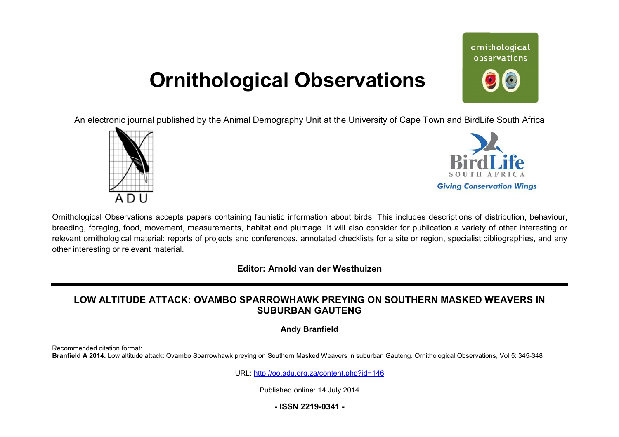# **Ornithological Observations**

ornithological observations

An electronic journal published by the Animal Demography Unit at the University of Cape Town and BirdLife South Africa





Ornithological Observations accepts papers containing faunistic information about birds. This includes descriptions of distribution, behaviour, breeding, foraging, food, movement, measurements, habitat and plumage. It will also consider for publication a variety of other interesting or relevant ornithological material: reports of projects and conferences, annotated checklists for a site or region, specialist bibliographies, and any other interesting or relevant material.

**Editor: Arnold van der Westhuizen**

## LOW ALTITUDE ATTACK: OVAMBO SPARROWHAWK PREYING ON SOUTHERN MASKED WEAVERS IN **SUBURBAN GAUTENG**

### **Andy Branfield**

Recommended citation format: Branfield A 2014. Low altitude attack: Ovambo Sparrowhawk preying on Southern Masked Weavers in suburban Gauteng. Ornithological Observations, Vol 5: 345-348

URL: <http://oo.adu.org.za/content.php?id=146>

Published online: 14 July 2014

**- ISSN 2219-0341 -**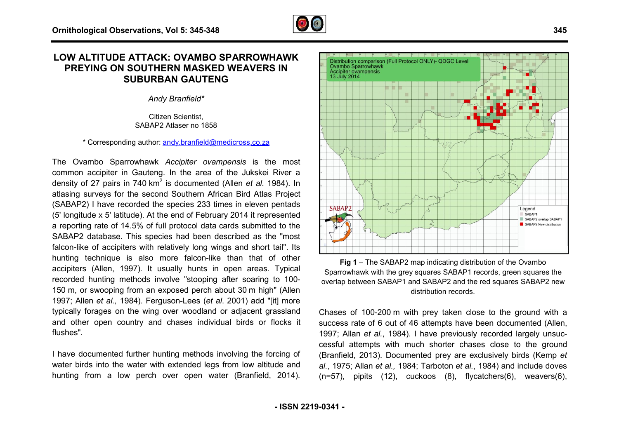## **LOW ALTITUDE ATTACK: OVAMBO SPARROWHAWK : PREYING ON SOUTHERN MASKED WEAVERS IN SUBURBAN GAUTENG**

*Andy Branfield\**

Citizen Scientist, SABAP2 Atlaser no 1858

\* Corresponding author: [andy.branfield@medicross.co.za](mailto:andy.branfield@medicross.co.za)

The Ovambo Sparrowhawk *Accipiter ovampensis* is the most common accipiter in Gauteng. In the area of the Jukskei River a density of 27 pairs in 740 km<sup>2</sup> is documented (Allen *et al.* 1984). In atlasing surveys for the second Southern African Bird Atlas Project (SABAP2) I have recorded the species 233 times in eleven pentads (5' longitude x 5' latitude). At the end of February 2014 it represented a reporting rate of 14.5% of full protocol data cards submitted to the SABAP2 database. This species had been described as the " "most falcon-like of accipiters with relatively long wings and short tail". Its hunting technique is also more falcon-like than that of other accipiters (Allen, 1997). It usually hunts in open areas. Typical accipiters (Allen, 1997). It usually hunts in open areas. Typical<br>recorded hunting methods involve "stooping after soaring to 100-150 m, or swooping from an exposed perch about 30 m high" (Allen 1997; Allen *et al.,* 1984). Ferguson-Lees (*et al*. 2001) add " "[it] more typically forages on the wing over woodland or adjacent grassland and other open country and chases individual birds or flocks it flushes".

I have documented further hunting methods involving the forcing of water birds into the water with extended legs from low altitude and hunting from a low perch over open water (Branfield, 2014 2014).



Ovambo Sparrowhawk **Accipiter ovampensis** 13 July 2014

Distribution comparison (Full Protocol ONLY)- QDGC Level

**Fig 1** – The SABAP2 map indicating distribution of the Ovambo Sparrowhawk with the grey squares SABAP1 records, green squares the overlap between SABAP1 and SABAP2 and the red squares SABAP2 new distribution records.

Chases of 100-200 m with prey taken close to the ground with a success rate of 6 out of 46 attempts have been documented (Allen, 1997; Allan et al., 1984). I have previously recorded largely unsuccessful attempts with much shorter chases close to the ground (Branfield, 2013). Documented prey are exclusively birds (Kemp et *al.*, 1975; Allan *et al.,* 1984; Tarboton *et al.*, 1984) and include doves *al.*, 1975; Allan e*t al.,* 1984; Tarboton e*t al.*, 1984) and include doves<br>(n=57), pipits (12), cuckoos (8), flycatchers(6), weavers(6),

Legend SABAP1 SABAP2 overlap SABAP1 SABAP2 New distribution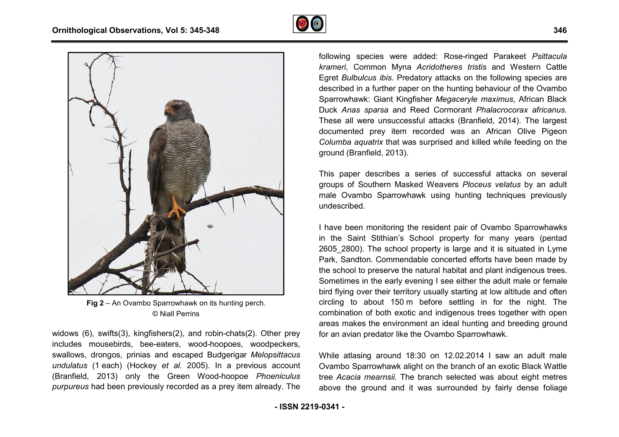



**Fig 2** – An Ovambo Sparrowhawk on its hunting perch. © Niall Perrins

widows (6), swifts(3), kingfishers(2), and robin-chats(2). Other prey includes mousebirds, bee-eaters, wood-hoopoes, woodpeckers, swallows, drongos, prinias and escaped Budgerigar *Melopsittac Melopsittacus undulatus* (1 each) (Hockey *et al.* 2005). In a previous account (Branfield, 2013) only the Green Wood-hoopoe hoopoe *Phoeniculus purpureus* had been previously recorded as a prey item already. The

following species were added: Rose-ringed Parakeet Psittacula *krameri*, Common Myna *Acridotheres tristis* and Western Cattle Egret Bulbulcus ibis. Predatory attacks on the following species are described in a further paper on the hunting behaviour of the Ovambo Sparrowhawk: Giant Kingfisher *Megaceryle maximus* , African Black Duck *Anas sparsa* and Reed Cormorant *Phalacrocorax africanus* . These all were unsuccessful attacks (Branfield, 2014 2014). The largest documented prey item recorded was an A African Olive Pigeon *Columba aquatrix* that was surprised and killed while feeding on the ground (Branfield, 2013).

This paper describes a series of successful attacks on several groups of Southern Masked Weavers *Ploceus velatus* by an adult male Ovambo Sparrowhawk using hunting techniques previously undescribed.

I have been monitoring the resident pair of Ovambo Sparrowhawks in the Saint Stithian's School property for many years ( (pentad 2605 2800). The school property is large and it is situated in Lyme Park, Sandton. Commendable concerted efforts have been made by the school to preserve the natural habitat and plant indigenous trees. Sometimes in the early evening I see either the adult male or female bird flying over their territory usually starting at low altitude and of circling to about 150 m before settling in for the night. The combination of both exotic and indigenous trees together with open areas makes the environment an ideal hunting and breeding ground for an avian predator like the Ovambo Sparrowhawk. chool to preserve the natural habitat and plant indigenous trees.<br>etimes in the early evening I see either the adult male or female<br>Iying over their territory usually starting at low altitude and often

While atlasing around 18:30 on 12.02.2014 I saw an adult male Ovambo Sparrowhawk alight on the branch of an exotic Black Wattle tree *Acacia mearnsii*. The branch selected was about eight metres above the ground and it was surrounded by fairly dense foliage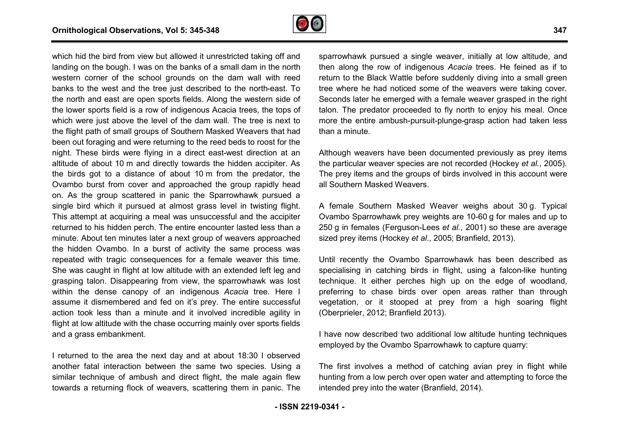

which hid the bird from view but allowed it unrestricted taking off and landing on the bough. I was on the banks of a small dam in the north western corner of the school grounds on the dam wall with reed banks to the west and the tree just described to the north-east. To the north and east are open sports fields. Along the western side of the lower sports field is a row of indigenous Acacia trees, the tops of the lower sports field is a row of indigenous Acacia trees, the tops of<br>which were just above the level of the dam wall. The tree is next to the flight path of small groups of Southern Masked Weavers that had been out foraging and were returning to the reed beds to roost for the night. These birds were flying in a direct east-west direction at an altitude of about 10 m and directly towards the hidden accipiter. As the birds got to a distance of about 10 m from the predator, the Ovambo burst from cover and approached the group rapidly head on. As the group scattered in panic the Sparrowhawk pursued a single bird which it pursued at almost grass level in twisting flight. This attempt at acquiring a meal was unsuccessful and the accipiter returned to his hidden perch. The entire encounter lasted less than a minute. About ten minutes later a next group of weavers approached the hidden Ovambo. In a burst of activity the same process was repeated with tragic consequences for a female weaver this time. She was caught in flight at low altitude with an extended left leg and grasping talon. Disappearing from view, the sparrowhawk was lost within the dense canopy of an indigenous *Acacia* tree. Here I assume it dismembered and fed on it's prey. The entire successful action took less than a minute and it involved incredible agility in flight at low altitude with the chase occurring mainly over sports fields and a grass embankment. icted taking off and<br>all dam in the north<br>lam wall with reed<br>the north-east. To d and fed on it's prey. The entire successful<br>a minute and it involved incredible agility in<br>า the chase occurring mainly over sports fields

I returned to the area the next day and at about 18:30 I observed another fatal interaction between the same two species. Using a similar technique of ambush and direct flight, the male again flew towards a returning flock of weavers, scattering them in panic. The

sparrowhawk pursued a single weaver, initially at low altitude, and sparrowhawk pursued a single weaver, initially at low altitude, and<br>then along the row of indigenous *Acacia* trees. He feined as if to return to the Black Wattle before suddenly diving into a small green tree where he had noticed some of the weavers were taking cover. Seconds later he emerged with a female weaver grasped in the right talon. The predator proceeded to fly north to enjoy his meal. Once more the entire ambush-pursuit-plunge-grasp action had taken less than a minute. more the entire ambush-pursuit-plunge-grasp action had taken less<br>than a minute.<br>Although weavers have been documented previously as prey items

the particular weaver species are not recorded (Hockey *et al.*, 2005). The prey items and the groups of birds involved in this account were all Southern Masked Weavers.

A female Southern Masked Weaver weighs about 30 g. Typical Ovambo Sparrowhawk prey weights are 10-60 g for males and up to 250 g in females (Ferguson-Lees *et al.*, 2001) so these are average sized prey items (Hockey *et al.*, 2005; Branfield, 2013).

Until recently the Ovambo Sparrowhawk has been described as specialising in catching birds in flight, using a falcon-like hunting technique. It either perches high up on the edge of woodland, preferring to chase birds over open areas rather than through vegetation, or it stooped at prey from a high soaring flight (Oberprieler, 2012; Branfield 2013). vegetation, or it stooped at prey from a high soaring flight<br>(Oberprieler, 2012; Branfield 2013).<br>I have now described two additional low altitude hunting techniques

employed by the Ovambo Sparrowhawk to capture quarry:

The first involves a method of catching avian prey in flight while hunting from a low perch over open water and attempting to force the intended prey into the water (Branfield, 2014).